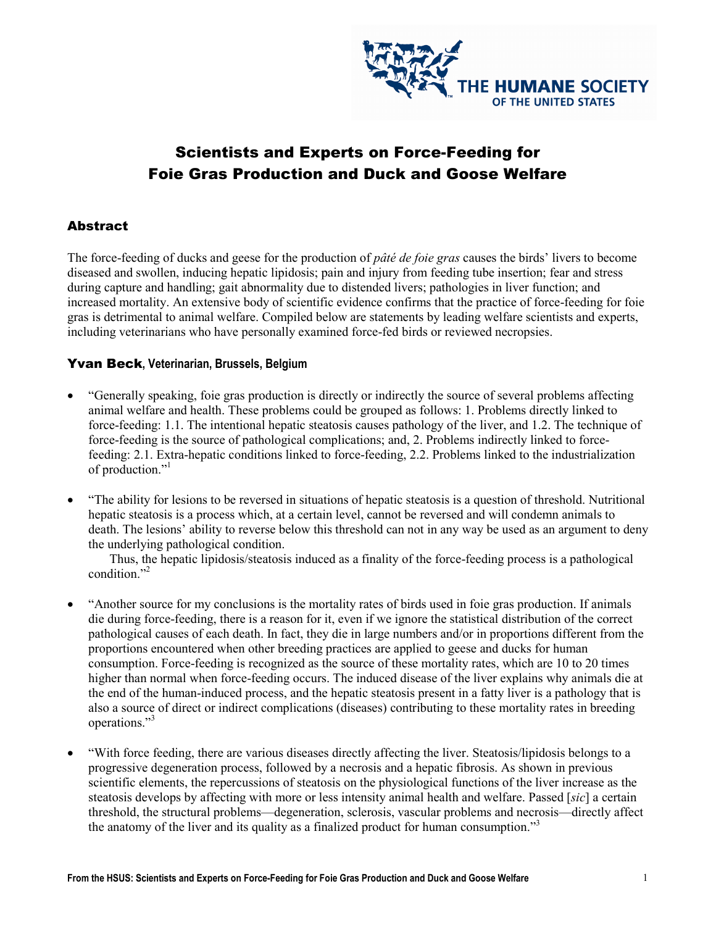

# Scientists and Experts on Force-Feeding for Foie Gras Production and Duck and Goose Welfare

# **Abstract**

The force-feeding of ducks and geese for the production of *pâté de foie gras* causes the birds' livers to become diseased and swollen, inducing hepatic lipidosis; pain and injury from feeding tube insertion; fear and stress during capture and handling; gait abnormality due to distended livers; pathologies in liver function; and increased mortality. An extensive body of scientific evidence confirms that the practice of force-feeding for foie gras is detrimental to animal welfare. Compiled below are statements by leading welfare scientists and experts, including veterinarians who have personally examined force-fed birds or reviewed necropsies.

#### Yvan Beck, Veterinarian, Brussels, Belgium

- "Generally speaking, foie gras production is directly or indirectly the source of several problems affecting animal welfare and health. These problems could be grouped as follows: 1. Problems directly linked to force-feeding: 1.1. The intentional hepatic steatosis causes pathology of the liver, and 1.2. The technique of force-feeding is the source of pathological complications; and, 2. Problems indirectly linked to forcefeeding: 2.1. Extra-hepatic conditions linked to force-feeding, 2.2. Problems linked to the industrialization of production."<sup>1</sup>
- "The ability for lesions to be reversed in situations of hepatic steatosis is a question of threshold. Nutritional hepatic steatosis is a process which, at a certain level, cannot be reversed and will condemn animals to death. The lesions' ability to reverse below this threshold can not in any way be used as an argument to deny the underlying pathological condition.

Thus, the hepatic lipidosis/steatosis induced as a finality of the force-feeding process is a pathological condition."<sup>2</sup>

- "Another source for my conclusions is the mortality rates of birds used in foie gras production. If animals die during force-feeding, there is a reason for it, even if we ignore the statistical distribution of the correct pathological causes of each death. In fact, they die in large numbers and/or in proportions different from the proportions encountered when other breeding practices are applied to geese and ducks for human consumption. Force-feeding is recognized as the source of these mortality rates, which are 10 to 20 times higher than normal when force-feeding occurs. The induced disease of the liver explains why animals die at the end of the human-induced process, and the hepatic steatosis present in a fatty liver is a pathology that is also a source of direct or indirect complications (diseases) contributing to these mortality rates in breeding operations."<sup>3</sup>
- "With force feeding, there are various diseases directly affecting the liver. Steatosis/lipidosis belongs to a progressive degeneration process, followed by a necrosis and a hepatic fibrosis. As shown in previous scientific elements, the repercussions of steatosis on the physiological functions of the liver increase as the steatosis develops by affecting with more or less intensity animal health and welfare. Passed [sic] a certain threshold, the structural problems—degeneration, sclerosis, vascular problems and necrosis—directly affect the anatomy of the liver and its quality as a finalized product for human consumption."<sup>3</sup>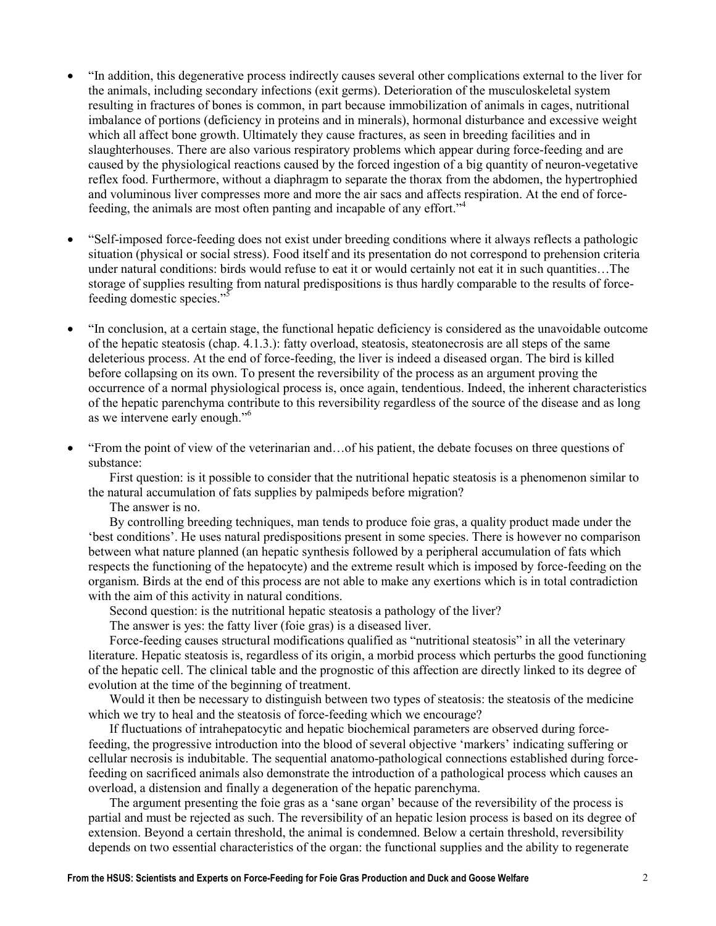- "In addition, this degenerative process indirectly causes several other complications external to the liver for the animals, including secondary infections (exit germs). Deterioration of the musculoskeletal system resulting in fractures of bones is common, in part because immobilization of animals in cages, nutritional imbalance of portions (deficiency in proteins and in minerals), hormonal disturbance and excessive weight which all affect bone growth. Ultimately they cause fractures, as seen in breeding facilities and in slaughterhouses. There are also various respiratory problems which appear during force-feeding and are caused by the physiological reactions caused by the forced ingestion of a big quantity of neuron-vegetative reflex food. Furthermore, without a diaphragm to separate the thorax from the abdomen, the hypertrophied and voluminous liver compresses more and more the air sacs and affects respiration. At the end of forcefeeding, the animals are most often panting and incapable of any effort."<sup>4</sup>
- "Self-imposed force-feeding does not exist under breeding conditions where it always reflects a pathologic situation (physical or social stress). Food itself and its presentation do not correspond to prehension criteria under natural conditions: birds would refuse to eat it or would certainly not eat it in such quantities…The storage of supplies resulting from natural predispositions is thus hardly comparable to the results of forcefeeding domestic species."<sup>5</sup>
- "In conclusion, at a certain stage, the functional hepatic deficiency is considered as the unavoidable outcome of the hepatic steatosis (chap. 4.1.3.): fatty overload, steatosis, steatonecrosis are all steps of the same deleterious process. At the end of force-feeding, the liver is indeed a diseased organ. The bird is killed before collapsing on its own. To present the reversibility of the process as an argument proving the occurrence of a normal physiological process is, once again, tendentious. Indeed, the inherent characteristics of the hepatic parenchyma contribute to this reversibility regardless of the source of the disease and as long as we intervene early enough."<sup>6</sup>
- "From the point of view of the veterinarian and…of his patient, the debate focuses on three questions of substance:

First question: is it possible to consider that the nutritional hepatic steatosis is a phenomenon similar to the natural accumulation of fats supplies by palmipeds before migration?

The answer is no.

By controlling breeding techniques, man tends to produce foie gras, a quality product made under the 'best conditions'. He uses natural predispositions present in some species. There is however no comparison between what nature planned (an hepatic synthesis followed by a peripheral accumulation of fats which respects the functioning of the hepatocyte) and the extreme result which is imposed by force-feeding on the organism. Birds at the end of this process are not able to make any exertions which is in total contradiction with the aim of this activity in natural conditions.

Second question: is the nutritional hepatic steatosis a pathology of the liver?

The answer is yes: the fatty liver (foie gras) is a diseased liver.

Force-feeding causes structural modifications qualified as "nutritional steatosis" in all the veterinary literature. Hepatic steatosis is, regardless of its origin, a morbid process which perturbs the good functioning of the hepatic cell. The clinical table and the prognostic of this affection are directly linked to its degree of evolution at the time of the beginning of treatment.

Would it then be necessary to distinguish between two types of steatosis: the steatosis of the medicine which we try to heal and the steatosis of force-feeding which we encourage?

If fluctuations of intrahepatocytic and hepatic biochemical parameters are observed during forcefeeding, the progressive introduction into the blood of several objective 'markers' indicating suffering or cellular necrosis is indubitable. The sequential anatomo-pathological connections established during forcefeeding on sacrificed animals also demonstrate the introduction of a pathological process which causes an overload, a distension and finally a degeneration of the hepatic parenchyma.

The argument presenting the foie gras as a 'sane organ' because of the reversibility of the process is partial and must be rejected as such. The reversibility of an hepatic lesion process is based on its degree of extension. Beyond a certain threshold, the animal is condemned. Below a certain threshold, reversibility depends on two essential characteristics of the organ: the functional supplies and the ability to regenerate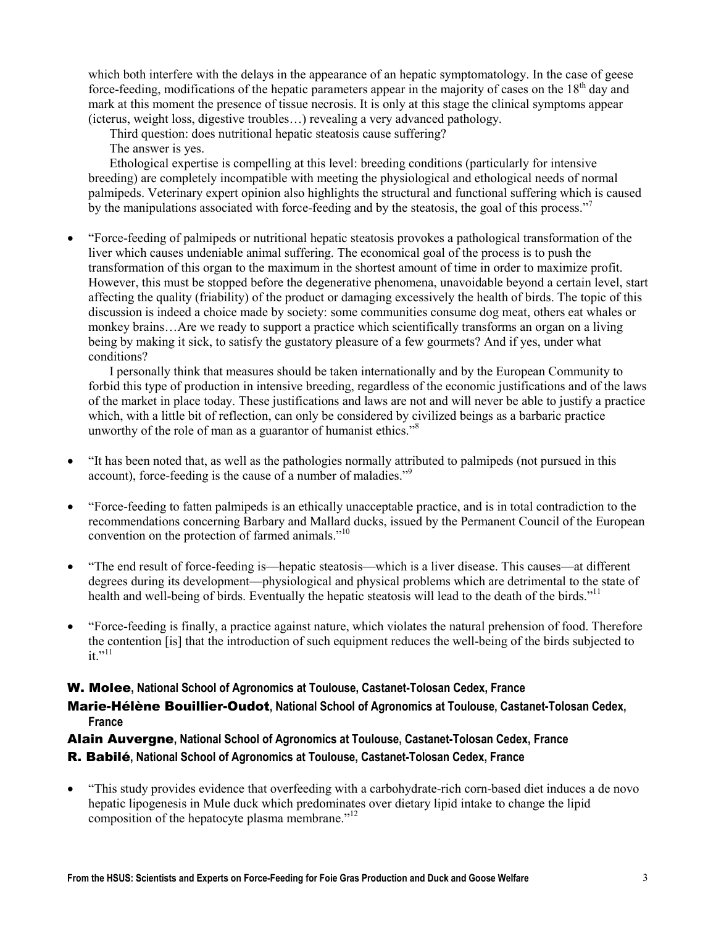which both interfere with the delays in the appearance of an hepatic symptomatology. In the case of geese force-feeding, modifications of the hepatic parameters appear in the majority of cases on the  $18<sup>th</sup>$  day and mark at this moment the presence of tissue necrosis. It is only at this stage the clinical symptoms appear (icterus, weight loss, digestive troubles…) revealing a very advanced pathology.

Third question: does nutritional hepatic steatosis cause suffering?

The answer is yes.

Ethological expertise is compelling at this level: breeding conditions (particularly for intensive breeding) are completely incompatible with meeting the physiological and ethological needs of normal palmipeds. Veterinary expert opinion also highlights the structural and functional suffering which is caused by the manipulations associated with force-feeding and by the steatosis, the goal of this process."<sup>7</sup>

• "Force-feeding of palmipeds or nutritional hepatic steatosis provokes a pathological transformation of the liver which causes undeniable animal suffering. The economical goal of the process is to push the transformation of this organ to the maximum in the shortest amount of time in order to maximize profit. However, this must be stopped before the degenerative phenomena, unavoidable beyond a certain level, start affecting the quality (friability) of the product or damaging excessively the health of birds. The topic of this discussion is indeed a choice made by society: some communities consume dog meat, others eat whales or monkey brains…Are we ready to support a practice which scientifically transforms an organ on a living being by making it sick, to satisfy the gustatory pleasure of a few gourmets? And if yes, under what conditions?

I personally think that measures should be taken internationally and by the European Community to forbid this type of production in intensive breeding, regardless of the economic justifications and of the laws of the market in place today. These justifications and laws are not and will never be able to justify a practice which, with a little bit of reflection, can only be considered by civilized beings as a barbaric practice unworthy of the role of man as a guarantor of humanist ethics."<sup>8</sup>

- "It has been noted that, as well as the pathologies normally attributed to palmipeds (not pursued in this account), force-feeding is the cause of a number of maladies."<sup>9</sup>
- "Force-feeding to fatten palmipeds is an ethically unacceptable practice, and is in total contradiction to the recommendations concerning Barbary and Mallard ducks, issued by the Permanent Council of the European convention on the protection of farmed animals."<sup>10</sup>
- "The end result of force-feeding is—hepatic steatosis—which is a liver disease. This causes—at different degrees during its development—physiological and physical problems which are detrimental to the state of health and well-being of birds. Eventually the hepatic steatosis will lead to the death of the birds."<sup>11</sup>
- "Force-feeding is finally, a practice against nature, which violates the natural prehension of food. Therefore the contention [is] that the introduction of such equipment reduces the well-being of the birds subjected to  $it \cdot \dot{11}$

# W. Molee, National School of Agronomics at Toulouse, Castanet-Tolosan Cedex, France Marie-Hélène Bouillier-Oudot, National School of Agronomics at Toulouse, Castanet-Tolosan Cedex, France

# Alain Auvergne, National School of Agronomics at Toulouse, Castanet-Tolosan Cedex, France R. Babilé, National School of Agronomics at Toulouse, Castanet-Tolosan Cedex, France

• "This study provides evidence that overfeeding with a carbohydrate-rich corn-based diet induces a de novo hepatic lipogenesis in Mule duck which predominates over dietary lipid intake to change the lipid composition of the hepatocyte plasma membrane."<sup>12</sup>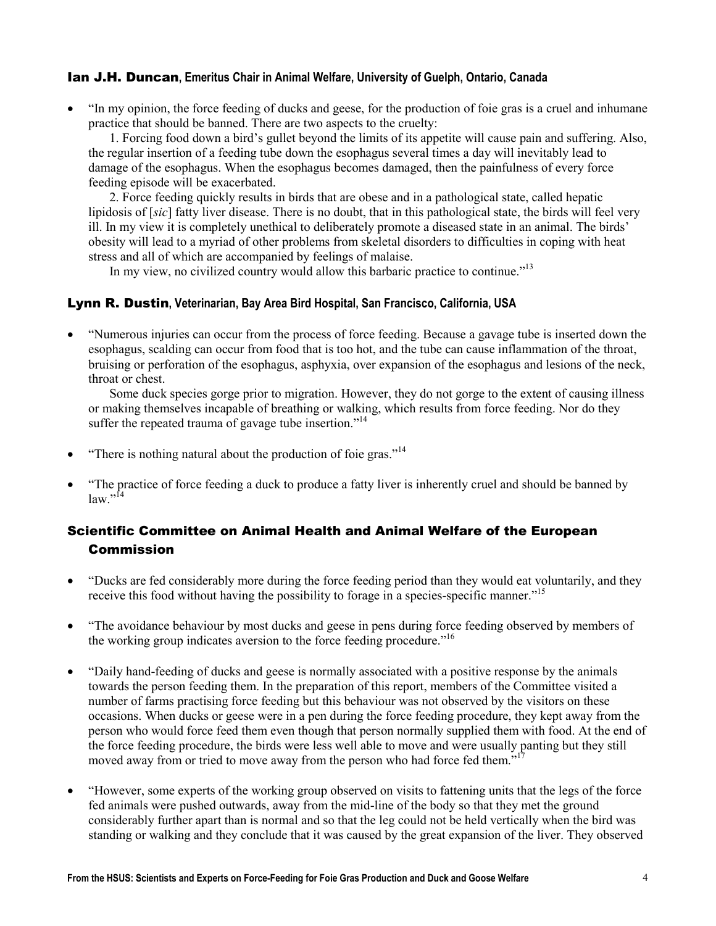#### Ian J.H. Duncan, Emeritus Chair in Animal Welfare, University of Guelph, Ontario, Canada

• "In my opinion, the force feeding of ducks and geese, for the production of foie gras is a cruel and inhumane practice that should be banned. There are two aspects to the cruelty:

1. Forcing food down a bird's gullet beyond the limits of its appetite will cause pain and suffering. Also, the regular insertion of a feeding tube down the esophagus several times a day will inevitably lead to damage of the esophagus. When the esophagus becomes damaged, then the painfulness of every force feeding episode will be exacerbated.

2. Force feeding quickly results in birds that are obese and in a pathological state, called hepatic lipidosis of [sic] fatty liver disease. There is no doubt, that in this pathological state, the birds will feel very ill. In my view it is completely unethical to deliberately promote a diseased state in an animal. The birds' obesity will lead to a myriad of other problems from skeletal disorders to difficulties in coping with heat stress and all of which are accompanied by feelings of malaise.

In my view, no civilized country would allow this barbaric practice to continue."<sup>13</sup>

#### Lynn R. Dustin, Veterinarian, Bay Area Bird Hospital, San Francisco, California, USA

• "Numerous injuries can occur from the process of force feeding. Because a gavage tube is inserted down the esophagus, scalding can occur from food that is too hot, and the tube can cause inflammation of the throat, bruising or perforation of the esophagus, asphyxia, over expansion of the esophagus and lesions of the neck, throat or chest.

Some duck species gorge prior to migration. However, they do not gorge to the extent of causing illness or making themselves incapable of breathing or walking, which results from force feeding. Nor do they suffer the repeated trauma of gavage tube insertion."<sup>14</sup>

- "There is nothing natural about the production of foie gras."<sup>14</sup>
- "The practice of force feeding a duck to produce a fatty liver is inherently cruel and should be banned by  $law.^{"14}$

# Scientific Committee on Animal Health and Animal Welfare of the European Commission

- "Ducks are fed considerably more during the force feeding period than they would eat voluntarily, and they receive this food without having the possibility to forage in a species-specific manner."<sup>15</sup>
- "The avoidance behaviour by most ducks and geese in pens during force feeding observed by members of the working group indicates aversion to the force feeding procedure.<sup>"16</sup>
- "Daily hand-feeding of ducks and geese is normally associated with a positive response by the animals towards the person feeding them. In the preparation of this report, members of the Committee visited a number of farms practising force feeding but this behaviour was not observed by the visitors on these occasions. When ducks or geese were in a pen during the force feeding procedure, they kept away from the person who would force feed them even though that person normally supplied them with food. At the end of the force feeding procedure, the birds were less well able to move and were usually panting but they still moved away from or tried to move away from the person who had force fed them."
- "However, some experts of the working group observed on visits to fattening units that the legs of the force fed animals were pushed outwards, away from the mid-line of the body so that they met the ground considerably further apart than is normal and so that the leg could not be held vertically when the bird was standing or walking and they conclude that it was caused by the great expansion of the liver. They observed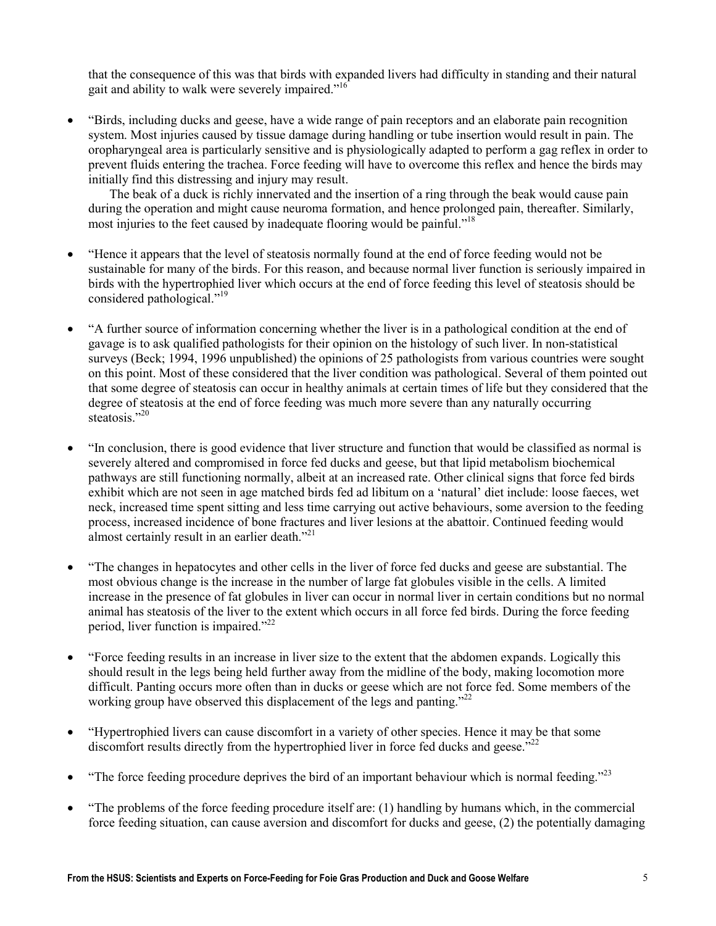that the consequence of this was that birds with expanded livers had difficulty in standing and their natural gait and ability to walk were severely impaired."<sup>16</sup>

• "Birds, including ducks and geese, have a wide range of pain receptors and an elaborate pain recognition system. Most injuries caused by tissue damage during handling or tube insertion would result in pain. The oropharyngeal area is particularly sensitive and is physiologically adapted to perform a gag reflex in order to prevent fluids entering the trachea. Force feeding will have to overcome this reflex and hence the birds may initially find this distressing and injury may result.

 The beak of a duck is richly innervated and the insertion of a ring through the beak would cause pain during the operation and might cause neuroma formation, and hence prolonged pain, thereafter. Similarly, most injuries to the feet caused by inadequate flooring would be painful."<sup>18</sup>

- "Hence it appears that the level of steatosis normally found at the end of force feeding would not be sustainable for many of the birds. For this reason, and because normal liver function is seriously impaired in birds with the hypertrophied liver which occurs at the end of force feeding this level of steatosis should be considered pathological."<sup>19</sup>
- "A further source of information concerning whether the liver is in a pathological condition at the end of gavage is to ask qualified pathologists for their opinion on the histology of such liver. In non-statistical surveys (Beck; 1994, 1996 unpublished) the opinions of 25 pathologists from various countries were sought on this point. Most of these considered that the liver condition was pathological. Several of them pointed out that some degree of steatosis can occur in healthy animals at certain times of life but they considered that the degree of steatosis at the end of force feeding was much more severe than any naturally occurring steatosis<sup>"20</sup>
- "In conclusion, there is good evidence that liver structure and function that would be classified as normal is severely altered and compromised in force fed ducks and geese, but that lipid metabolism biochemical pathways are still functioning normally, albeit at an increased rate. Other clinical signs that force fed birds exhibit which are not seen in age matched birds fed ad libitum on a 'natural' diet include: loose faeces, wet neck, increased time spent sitting and less time carrying out active behaviours, some aversion to the feeding process, increased incidence of bone fractures and liver lesions at the abattoir. Continued feeding would almost certainly result in an earlier death."<sup>21</sup>
- "The changes in hepatocytes and other cells in the liver of force fed ducks and geese are substantial. The most obvious change is the increase in the number of large fat globules visible in the cells. A limited increase in the presence of fat globules in liver can occur in normal liver in certain conditions but no normal animal has steatosis of the liver to the extent which occurs in all force fed birds. During the force feeding period, liver function is impaired." $^{22}$
- "Force feeding results in an increase in liver size to the extent that the abdomen expands. Logically this should result in the legs being held further away from the midline of the body, making locomotion more difficult. Panting occurs more often than in ducks or geese which are not force fed. Some members of the working group have observed this displacement of the legs and panting."<sup>22</sup>
- "Hypertrophied livers can cause discomfort in a variety of other species. Hence it may be that some discomfort results directly from the hypertrophied liver in force fed ducks and geese.<sup>"22</sup>
- "The force feeding procedure deprives the bird of an important behaviour which is normal feeding."<sup>23</sup>
- "The problems of the force feeding procedure itself are: (1) handling by humans which, in the commercial force feeding situation, can cause aversion and discomfort for ducks and geese, (2) the potentially damaging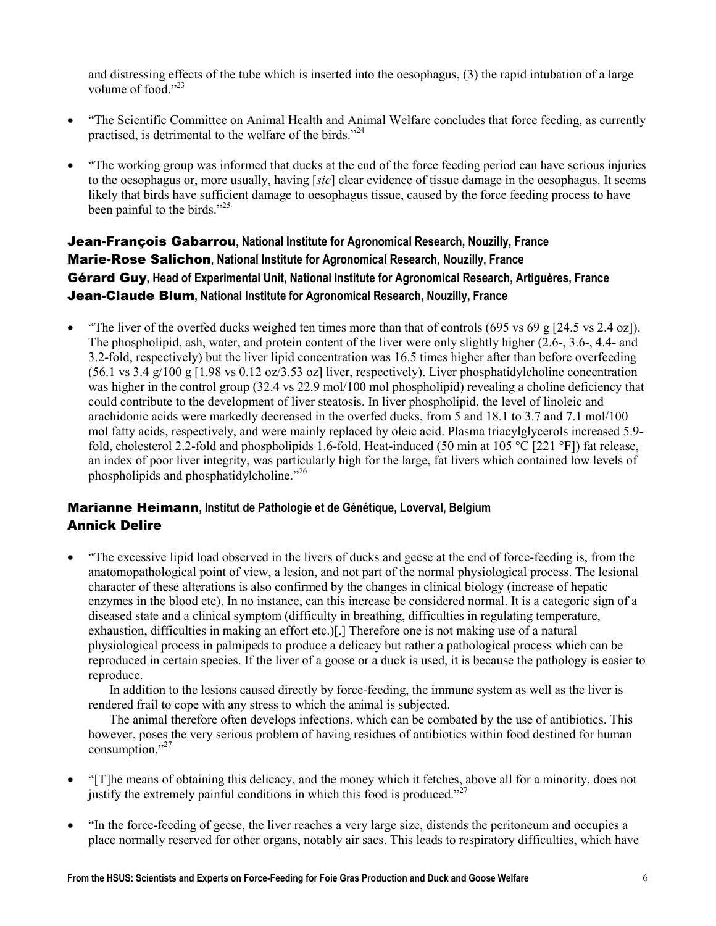and distressing effects of the tube which is inserted into the oesophagus, (3) the rapid intubation of a large volume of food."<sup>23</sup>

- "The Scientific Committee on Animal Health and Animal Welfare concludes that force feeding, as currently practised, is detrimental to the welfare of the birds."<sup>24</sup>
- "The working group was informed that ducks at the end of the force feeding period can have serious injuries to the oesophagus or, more usually, having [sic] clear evidence of tissue damage in the oesophagus. It seems likely that birds have sufficient damage to oesophagus tissue, caused by the force feeding process to have been painful to the birds."<sup>25</sup>

# Jean-François Gabarrou, National Institute for Agronomical Research, Nouzilly, France Marie-Rose Salichon, National Institute for Agronomical Research, Nouzilly, France Gérard Guy, Head of Experimental Unit, National Institute for Agronomical Research, Artiguères, France Jean-Claude Blum, National Institute for Agronomical Research, Nouzilly, France

• "The liver of the overfed ducks weighed ten times more than that of controls (695 vs 69 g [24.5 vs 2.4 oz]). The phospholipid, ash, water, and protein content of the liver were only slightly higher (2.6-, 3.6-, 4.4- and 3.2-fold, respectively) but the liver lipid concentration was 16.5 times higher after than before overfeeding (56.1 vs 3.4 g/100 g [1.98 vs 0.12 oz/3.53 oz] liver, respectively). Liver phosphatidylcholine concentration was higher in the control group (32.4 vs 22.9 mol/100 mol phospholipid) revealing a choline deficiency that could contribute to the development of liver steatosis. In liver phospholipid, the level of linoleic and arachidonic acids were markedly decreased in the overfed ducks, from 5 and 18.1 to 3.7 and 7.1 mol/100 mol fatty acids, respectively, and were mainly replaced by oleic acid. Plasma triacylglycerols increased 5.9 fold, cholesterol 2.2-fold and phospholipids 1.6-fold. Heat-induced (50 min at 105 °C [221 °F]) fat release, an index of poor liver integrity, was particularly high for the large, fat livers which contained low levels of phospholipids and phosphatidylcholine."<sup>26</sup>

# Marianne Heimann, Institut de Pathologie et de Génétique, Loverval, Belgium Annick Delire

• "The excessive lipid load observed in the livers of ducks and geese at the end of force-feeding is, from the anatomopathological point of view, a lesion, and not part of the normal physiological process. The lesional character of these alterations is also confirmed by the changes in clinical biology (increase of hepatic enzymes in the blood etc). In no instance, can this increase be considered normal. It is a categoric sign of a diseased state and a clinical symptom (difficulty in breathing, difficulties in regulating temperature, exhaustion, difficulties in making an effort etc.)[.] Therefore one is not making use of a natural physiological process in palmipeds to produce a delicacy but rather a pathological process which can be reproduced in certain species. If the liver of a goose or a duck is used, it is because the pathology is easier to reproduce.

In addition to the lesions caused directly by force-feeding, the immune system as well as the liver is rendered frail to cope with any stress to which the animal is subjected.

The animal therefore often develops infections, which can be combated by the use of antibiotics. This however, poses the very serious problem of having residues of antibiotics within food destined for human consumption."<sup>27</sup>

- "[T]he means of obtaining this delicacy, and the money which it fetches, above all for a minority, does not justify the extremely painful conditions in which this food is produced."<sup>27</sup>
- "In the force-feeding of geese, the liver reaches a very large size, distends the peritoneum and occupies a place normally reserved for other organs, notably air sacs. This leads to respiratory difficulties, which have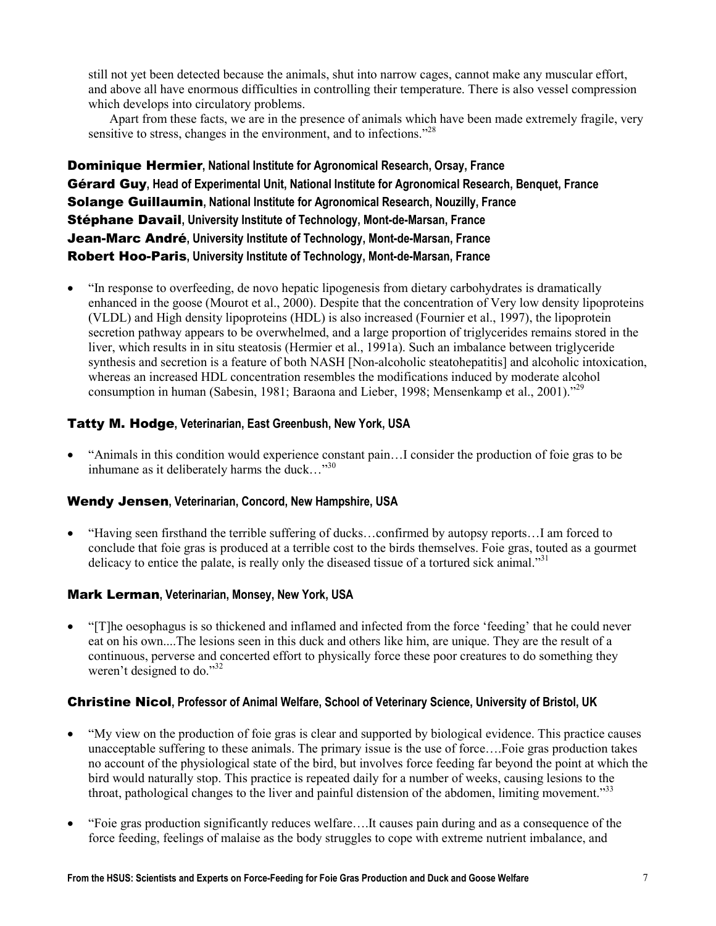still not yet been detected because the animals, shut into narrow cages, cannot make any muscular effort, and above all have enormous difficulties in controlling their temperature. There is also vessel compression which develops into circulatory problems.

Apart from these facts, we are in the presence of animals which have been made extremely fragile, very sensitive to stress, changes in the environment, and to infections.<sup>228</sup>

Dominique Hermier, National Institute for Agronomical Research, Orsay, France Gérard Guy, Head of Experimental Unit, National Institute for Agronomical Research, Benquet, France Solange Guillaumin, National Institute for Agronomical Research, Nouzilly, France Stéphane Davail, University Institute of Technology, Mont-de-Marsan, France Jean-Marc André, University Institute of Technology, Mont-de-Marsan, France Robert Hoo-Paris, University Institute of Technology, Mont-de-Marsan, France

• "In response to overfeeding, de novo hepatic lipogenesis from dietary carbohydrates is dramatically enhanced in the goose (Mourot et al., 2000). Despite that the concentration of Very low density lipoproteins (VLDL) and High density lipoproteins (HDL) is also increased (Fournier et al., 1997), the lipoprotein secretion pathway appears to be overwhelmed, and a large proportion of triglycerides remains stored in the liver, which results in in situ steatosis (Hermier et al., 1991a). Such an imbalance between triglyceride synthesis and secretion is a feature of both NASH [Non-alcoholic steatohepatitis] and alcoholic intoxication, whereas an increased HDL concentration resembles the modifications induced by moderate alcohol consumption in human (Sabesin, 1981; Baraona and Lieber, 1998; Mensenkamp et al., 2001).<sup>729</sup>

## Tatty M. Hodge, Veterinarian, East Greenbush, New York, USA

• "Animals in this condition would experience constant pain…I consider the production of foie gras to be inhumane as it deliberately harms the duck..." $30$ 

#### Wendy Jensen, Veterinarian, Concord, New Hampshire, USA

• "Having seen firsthand the terrible suffering of ducks…confirmed by autopsy reports…I am forced to conclude that foie gras is produced at a terrible cost to the birds themselves. Foie gras, touted as a gourmet delicacy to entice the palate, is really only the diseased tissue of a tortured sick animal."<sup>31</sup>

## Mark Lerman, Veterinarian, Monsey, New York, USA

• "[T]he oesophagus is so thickened and inflamed and infected from the force 'feeding' that he could never eat on his own....The lesions seen in this duck and others like him, are unique. They are the result of a continuous, perverse and concerted effort to physically force these poor creatures to do something they weren't designed to do."<sup>32</sup>

#### Christine Nicol, Professor of Animal Welfare, School of Veterinary Science, University of Bristol, UK

- "My view on the production of foie gras is clear and supported by biological evidence. This practice causes unacceptable suffering to these animals. The primary issue is the use of force….Foie gras production takes no account of the physiological state of the bird, but involves force feeding far beyond the point at which the bird would naturally stop. This practice is repeated daily for a number of weeks, causing lesions to the throat, pathological changes to the liver and painful distension of the abdomen, limiting movement.<sup>333</sup>
- "Foie gras production significantly reduces welfare….It causes pain during and as a consequence of the force feeding, feelings of malaise as the body struggles to cope with extreme nutrient imbalance, and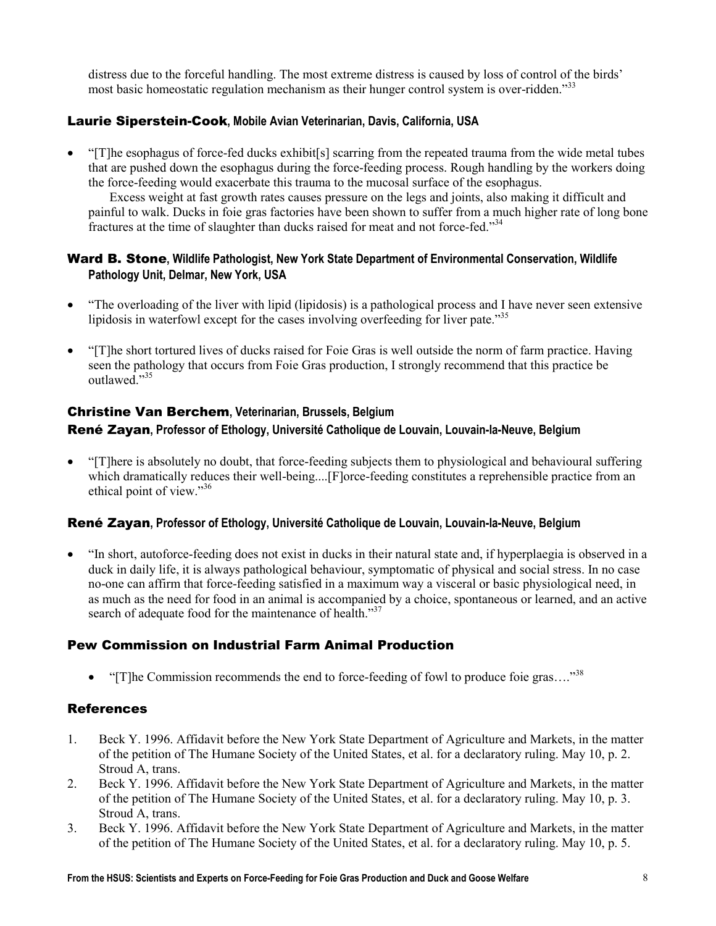distress due to the forceful handling. The most extreme distress is caused by loss of control of the birds' most basic homeostatic regulation mechanism as their hunger control system is over-ridden.<sup>333</sup>

## Laurie Siperstein-Cook, Mobile Avian Veterinarian, Davis, California, USA

• "[T]he esophagus of force-fed ducks exhibit[s] scarring from the repeated trauma from the wide metal tubes that are pushed down the esophagus during the force-feeding process. Rough handling by the workers doing the force-feeding would exacerbate this trauma to the mucosal surface of the esophagus.

Excess weight at fast growth rates causes pressure on the legs and joints, also making it difficult and painful to walk. Ducks in foie gras factories have been shown to suffer from a much higher rate of long bone fractures at the time of slaughter than ducks raised for meat and not force-fed."<sup>34</sup>

## Ward B. Stone, Wildlife Pathologist, New York State Department of Environmental Conservation, Wildlife Pathology Unit, Delmar, New York, USA

- "The overloading of the liver with lipid (lipidosis) is a pathological process and I have never seen extensive lipidosis in waterfowl except for the cases involving overfeeding for liver pate.<sup>355</sup>
- "[T]he short tortured lives of ducks raised for Foie Gras is well outside the norm of farm practice. Having seen the pathology that occurs from Foie Gras production, I strongly recommend that this practice be outlawed<sup>"35</sup>

## Christine Van Berchem, Veterinarian, Brussels, Belgium René Zayan, Professor of Ethology, Université Catholique de Louvain, Louvain-la-Neuve, Belgium

• "[T]here is absolutely no doubt, that force-feeding subjects them to physiological and behavioural suffering which dramatically reduces their well-being....[F]orce-feeding constitutes a reprehensible practice from an ethical point of view."<sup>36</sup>

## René Zayan, Professor of Ethology, Université Catholique de Louvain, Louvain-la-Neuve, Belgium

• "In short, autoforce-feeding does not exist in ducks in their natural state and, if hyperplaegia is observed in a duck in daily life, it is always pathological behaviour, symptomatic of physical and social stress. In no case no-one can affirm that force-feeding satisfied in a maximum way a visceral or basic physiological need, in as much as the need for food in an animal is accompanied by a choice, spontaneous or learned, and an active search of adequate food for the maintenance of health."<sup>37</sup>

# Pew Commission on Industrial Farm Animal Production

• "[T]he Commission recommends the end to force-feeding of fowl to produce foie gras..." $38$ 

## **References**

- 1. Beck Y. 1996. Affidavit before the New York State Department of Agriculture and Markets, in the matter of the petition of The Humane Society of the United States, et al. for a declaratory ruling. May 10, p. 2. Stroud A, trans.
- 2. Beck Y. 1996. Affidavit before the New York State Department of Agriculture and Markets, in the matter of the petition of The Humane Society of the United States, et al. for a declaratory ruling. May 10, p. 3. Stroud A, trans.
- 3. Beck Y. 1996. Affidavit before the New York State Department of Agriculture and Markets, in the matter of the petition of The Humane Society of the United States, et al. for a declaratory ruling. May 10, p. 5.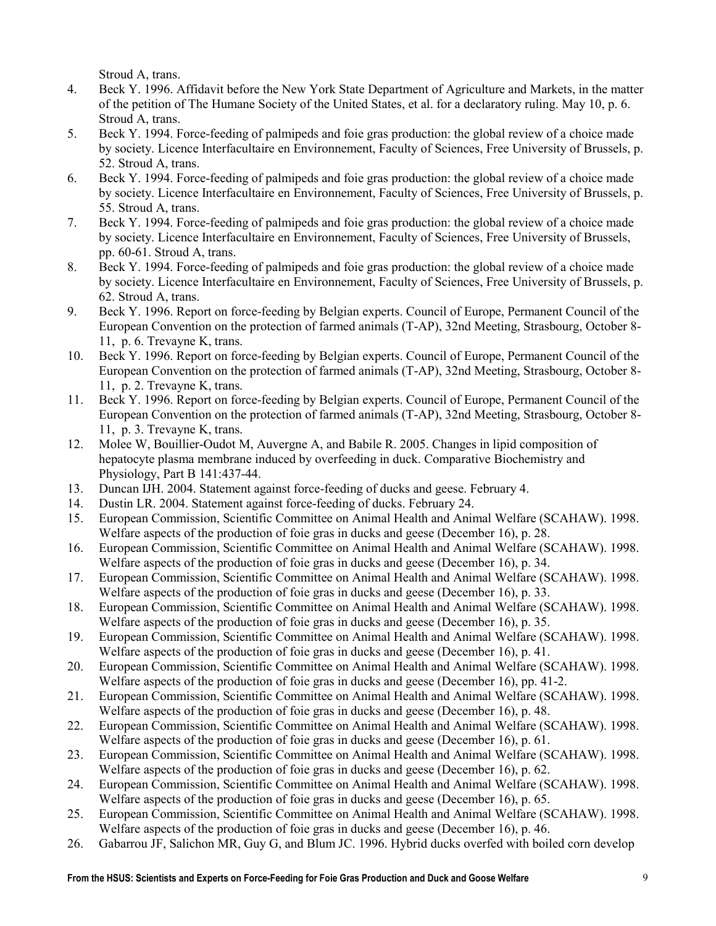Stroud A, trans.

- 4. Beck Y. 1996. Affidavit before the New York State Department of Agriculture and Markets, in the matter of the petition of The Humane Society of the United States, et al. for a declaratory ruling. May 10, p. 6. Stroud A, trans.
- 5. Beck Y. 1994. Force-feeding of palmipeds and foie gras production: the global review of a choice made by society. Licence Interfacultaire en Environnement, Faculty of Sciences, Free University of Brussels, p. 52. Stroud A, trans.
- 6. Beck Y. 1994. Force-feeding of palmipeds and foie gras production: the global review of a choice made by society. Licence Interfacultaire en Environnement, Faculty of Sciences, Free University of Brussels, p. 55. Stroud A, trans.
- 7. Beck Y. 1994. Force-feeding of palmipeds and foie gras production: the global review of a choice made by society. Licence Interfacultaire en Environnement, Faculty of Sciences, Free University of Brussels, pp. 60-61. Stroud A, trans.
- 8. Beck Y. 1994. Force-feeding of palmipeds and foie gras production: the global review of a choice made by society. Licence Interfacultaire en Environnement, Faculty of Sciences, Free University of Brussels, p. 62. Stroud A, trans.
- 9. Beck Y. 1996. Report on force-feeding by Belgian experts. Council of Europe, Permanent Council of the European Convention on the protection of farmed animals (T-AP), 32nd Meeting, Strasbourg, October 8- 11, p. 6. Trevayne K, trans.
- 10. Beck Y. 1996. Report on force-feeding by Belgian experts. Council of Europe, Permanent Council of the European Convention on the protection of farmed animals (T-AP), 32nd Meeting, Strasbourg, October 8- 11, p. 2. Trevayne K, trans.
- 11. Beck Y. 1996. Report on force-feeding by Belgian experts. Council of Europe, Permanent Council of the European Convention on the protection of farmed animals (T-AP), 32nd Meeting, Strasbourg, October 8- 11, p. 3. Trevayne K, trans.
- 12. Molee W, Bouillier-Oudot M, Auvergne A, and Babile R. 2005. Changes in lipid composition of hepatocyte plasma membrane induced by overfeeding in duck. Comparative Biochemistry and Physiology, Part B 141:437-44.
- 13. Duncan IJH. 2004. Statement against force-feeding of ducks and geese. February 4.
- 14. Dustin LR. 2004. Statement against force-feeding of ducks. February 24.
- 15. European Commission, Scientific Committee on Animal Health and Animal Welfare (SCAHAW). 1998. Welfare aspects of the production of foie gras in ducks and geese (December 16), p. 28.
- 16. European Commission, Scientific Committee on Animal Health and Animal Welfare (SCAHAW). 1998. Welfare aspects of the production of foie gras in ducks and geese (December 16), p. 34.
- 17. European Commission, Scientific Committee on Animal Health and Animal Welfare (SCAHAW). 1998. Welfare aspects of the production of foie gras in ducks and geese (December 16), p. 33.
- 18. European Commission, Scientific Committee on Animal Health and Animal Welfare (SCAHAW). 1998. Welfare aspects of the production of foie gras in ducks and geese (December 16), p. 35.
- 19. European Commission, Scientific Committee on Animal Health and Animal Welfare (SCAHAW). 1998. Welfare aspects of the production of foie gras in ducks and geese (December 16), p. 41.
- 20. European Commission, Scientific Committee on Animal Health and Animal Welfare (SCAHAW). 1998. Welfare aspects of the production of foie gras in ducks and geese (December 16), pp. 41-2.
- 21. European Commission, Scientific Committee on Animal Health and Animal Welfare (SCAHAW). 1998. Welfare aspects of the production of foie gras in ducks and geese (December 16), p. 48.
- 22. European Commission, Scientific Committee on Animal Health and Animal Welfare (SCAHAW). 1998. Welfare aspects of the production of foie gras in ducks and geese (December 16), p. 61.
- 23. European Commission, Scientific Committee on Animal Health and Animal Welfare (SCAHAW). 1998. Welfare aspects of the production of foie gras in ducks and geese (December 16), p. 62.
- 24. European Commission, Scientific Committee on Animal Health and Animal Welfare (SCAHAW). 1998. Welfare aspects of the production of foie gras in ducks and geese (December 16), p. 65.
- 25. European Commission, Scientific Committee on Animal Health and Animal Welfare (SCAHAW). 1998. Welfare aspects of the production of foie gras in ducks and geese (December 16), p. 46.
- 26. Gabarrou JF, Salichon MR, Guy G, and Blum JC. 1996. Hybrid ducks overfed with boiled corn develop